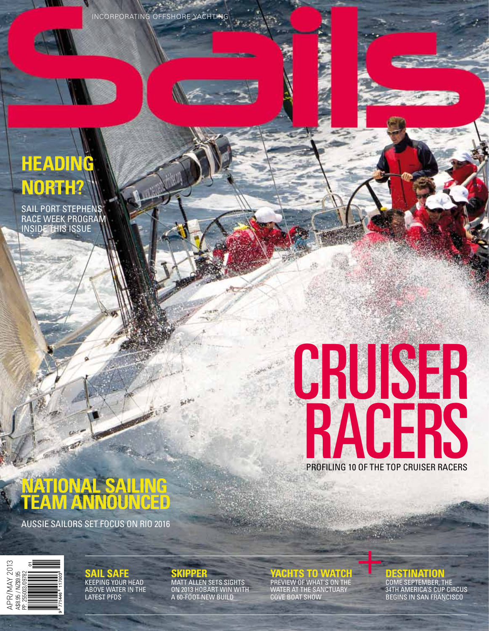Incorporating offshore yachting

## **Heading North?**

SAIL PORT STEPHENS RACE WEEK PROGRA inside this issue

# Profiling 10 of the top Cruiser Racers CRUSER **RACERS**

## **National Sailing Team announced**

- 1537

Aussie sailors set focus on Rio 2016



**Sail safe** Keeping your head above water in the LATEST P

**Skipper**  Matt Allen sets sights on 2013 Hobart win with a 60-foot new build

**Yachts to Watch** 

Preview of what's on the water at the Sanctuary Cove Boat show

### **DESTINATION**

Come September, the 34th America's Cup circus Begins In san Francisco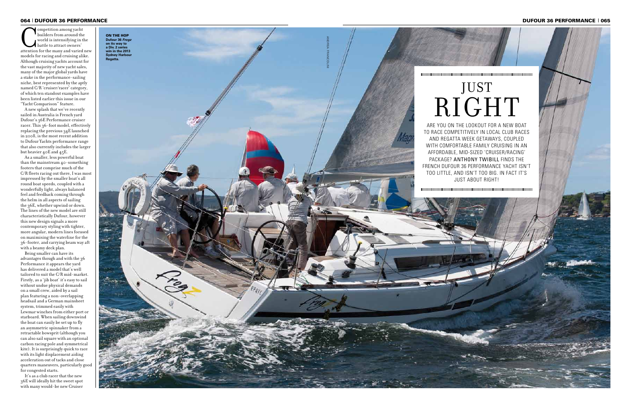builders from around the world is intensifying in the battle to attract owners' attention for the many and varied new models for racing and cruising alike. Although cruising yachts account for the vast majority of new yacht sales, many of the major global yards have a stake in the performance-sailing niche, best represented by the aptly named C/R 'cruiser/racer' category, of which ten standout examples have been listed earlier this issue in our "Yacht Comparison" feature.

As a smaller, less powerful boat than the mainstream 40-something footers that comprise much of the C/R fleets racing out there, I was most impressed by the smaller boat's all round boat speeds, coupled with a wonderfully light, always balanced feel and feedback coming through the helm in all aspects of sailing the 36E, whether upwind or down. The lines of the new model are still characteristically Dufour, however this new design signals a more contemporary styling with tighter, more angular, modern lines focused on maximising the waterline for the 36-footer, and carrying beam way aft with a beamy deck plan.

A new splash that we've recently sailed in Australia is French yard Dufour's 36E Performance cruiser racer. This 36-foot model, effectively replacing the previous 34E launched in 2008, is the most recent addition to Dufour Yachts performance range that also currently includes the larger but heavier 40E and 45E.

ARE YOU ON THE LOOKOUT FOR A NEW BOAT a to r ace com petitively i n loc al club r aces and reg att a week get w ays, cou pled a WITH COMFORTABLE FAMILY CRUISING IN afford able, mid-si zed 'cruiser/r aci ng' pack age? ANTHONY TWIBILL FI NDS the Fre nch Dufour 36 Performance y acht is n't too little, and is n't too big. In f act it's just about right!



#### 064 | DUFOUR 36 PERFORMANCE | 065 PERFORMANCE | 065 PERFORMANCE | 065 PERFORMANCE | 065 PERFORMANCE | 065 PERFORMANCE | 065 PERFORMANCE | 065 PERFORMANCE | 065 PERFORMANCE | 065 PERFORMANCE | 065 PERFORMANCE | 065 PERFORMA

Being smaller can have its advantages though and with the 36 Performance it appears the yard has delivered a model that's well tailored to suit the C/R mid-market. Firstly, as a 'jib boat' it's easy to sail without undue physical demands on a small crew, aided by a sail plan featuring a non-overlapping headsail and a German mainsheet system, trimmed easily with Lewmar winches from either port or starboard. When sailing downwind the boat can easily be set up to fly an asymmetric spinnaker from a retractable bowsprit (although you can also sail square with an optional carbon racing pole and symmetrical kite). It is surprisingly quick to race with its light displacement aiding acceleration out of tacks and close quarters maneuvers, particularly good for congested starts.

It's as a club racer that the new 36E will ideally hit the sweet spot with many would-be new Cruiser

# JUST RIGHT

**Dufour 36 Frogz Sydney Harbour**